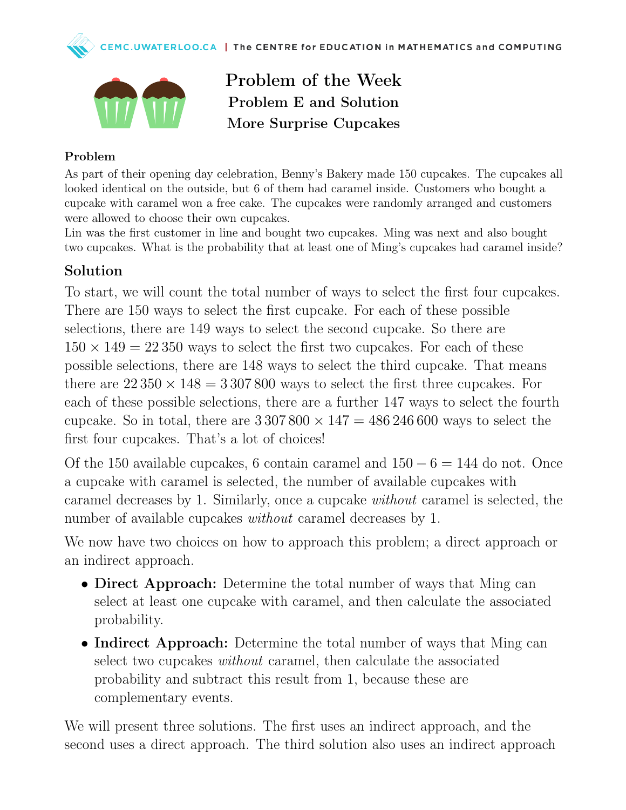



Problem of the Week Problem E and Solution More Surprise Cupcakes

#### Problem

As part of their opening day celebration, Benny's Bakery made 150 cupcakes. The cupcakes all looked identical on the outside, but 6 of them had caramel inside. Customers who bought a cupcake with caramel won a free cake. The cupcakes were randomly arranged and customers were allowed to choose their own cupcakes.

Lin was the first customer in line and bought two cupcakes. Ming was next and also bought two cupcakes. What is the probability that at least one of Ming's cupcakes had caramel inside?

### Solution

To start, we will count the total number of ways to select the first four cupcakes. There are 150 ways to select the first cupcake. For each of these possible selections, there are 149 ways to select the second cupcake. So there are  $150 \times 149 = 22350$  ways to select the first two cupcakes. For each of these possible selections, there are 148 ways to select the third cupcake. That means there are  $22\,350 \times 148 = 3\,307\,800$  ways to select the first three cupcakes. For each of these possible selections, there are a further 147 ways to select the fourth cupcake. So in total, there are  $3\,307\,800 \times 147 = 486\,246\,600$  ways to select the first four cupcakes. That's a lot of choices!

Of the 150 available cupcakes, 6 contain caramel and  $150 - 6 = 144$  do not. Once a cupcake with caramel is selected, the number of available cupcakes with caramel decreases by 1. Similarly, once a cupcake without caramel is selected, the number of available cupcakes *without* caramel decreases by 1.

We now have two choices on how to approach this problem; a direct approach or an indirect approach.

- Direct Approach: Determine the total number of ways that Ming can select at least one cupcake with caramel, and then calculate the associated probability.
- Indirect Approach: Determine the total number of ways that Ming can select two cupcakes without caramel, then calculate the associated probability and subtract this result from 1, because these are complementary events.

We will present three solutions. The first uses an indirect approach, and the second uses a direct approach. The third solution also uses an indirect approach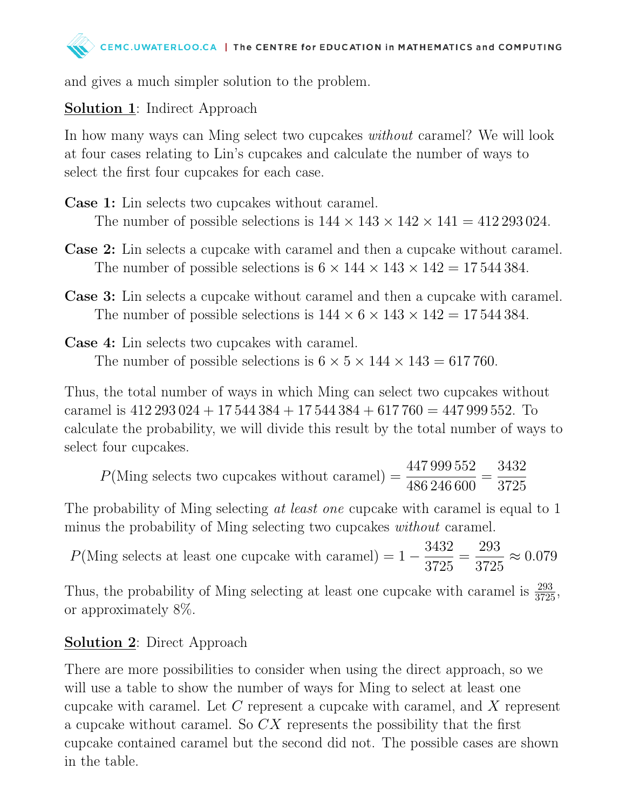

and gives a much simpler solution to the problem.

# Solution 1: Indirect Approach

In how many ways can Ming select two cupcakes *without* caramel? We will look at four cases relating to Lin's cupcakes and calculate the number of ways to select the first four cupcakes for each case.

- Case 1: Lin selects two cupcakes without caramel. The number of possible selections is  $144 \times 143 \times 142 \times 141 = 412293024$ .
- Case 2: Lin selects a cupcake with caramel and then a cupcake without caramel. The number of possible selections is  $6 \times 144 \times 143 \times 142 = 17544384$ .
- Case 3: Lin selects a cupcake without caramel and then a cupcake with caramel. The number of possible selections is  $144 \times 6 \times 143 \times 142 = 17544384$ .
- Case 4: Lin selects two cupcakes with caramel. The number of possible selections is  $6 \times 5 \times 144 \times 143 = 617760$ .

Thus, the total number of ways in which Ming can select two cupcakes without caramel is  $412\,293\,024 + 17\,544\,384 + 17\,544\,384 + 617\,760 = 447\,999\,552$ . To calculate the probability, we will divide this result by the total number of ways to select four cupcakes.

<sup>P</sup>(Ming selects two cupcakes without caramel) = 447 999 552 486 246 600 = 3432 3725

The probability of Ming selecting at least one cupcake with caramel is equal to 1 minus the probability of Ming selecting two cupcakes *without* caramel.

 $P(\text{Ming selects at least one cupcache with caramel}) = 1 -$ 3432 3725 = 293 3725  $\approx 0.079$ 

Thus, the probability of Ming selecting at least one cupcake with caramel is  $\frac{293}{3725}$ , or approximately 8%.

## **Solution 2:** Direct Approach

There are more possibilities to consider when using the direct approach, so we will use a table to show the number of ways for Ming to select at least one cupcake with caramel. Let C represent a cupcake with caramel, and X represent a cupcake without caramel. So CX represents the possibility that the first cupcake contained caramel but the second did not. The possible cases are shown in the table.